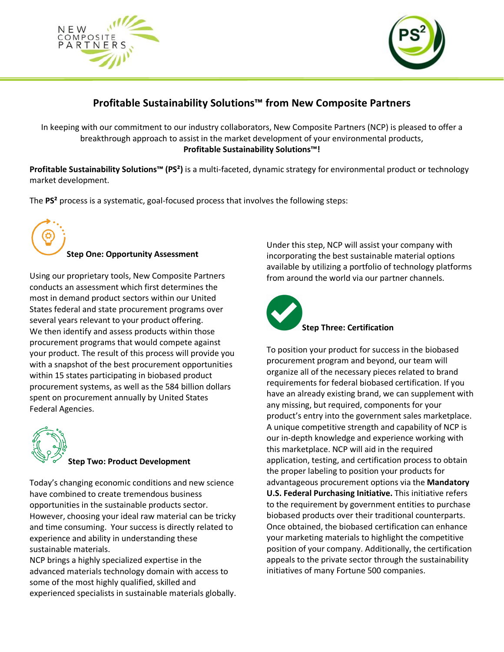



## **Profitable Sustainability Solutions™ from New Composite Partners**

In keeping with our commitment to our industry collaborators, New Composite Partners (NCP) is pleased to offer a breakthrough approach to assist in the market development of your environmental products, **Profitable Sustainability Solutions™!**

**Profitable Sustainability Solutions™ (PS²)** is a multi-faceted, dynamic strategy for environmental product or technology market development.

The **PS²** process is a systematic, goal-focused process that involves the following steps:



Using our proprietary tools, New Composite Partners conducts an assessment which first determines the most in demand product sectors within our United States federal and state procurement programs over several years relevant to your product offering. We then identify and assess products within those procurement programs that would compete against your product. The result of this process will provide you with a snapshot of the best procurement opportunities within 15 states participating in biobased product procurement systems, as well as the 584 billion dollars spent on procurement annually by United States Federal Agencies.



## **Step Two: Product Development**

Today's changing economic conditions and new science have combined to create tremendous business opportunities in the sustainable products sector. However, choosing your ideal raw material can be tricky and time consuming. Your success is directly related to experience and ability in understanding these sustainable materials.

NCP brings a highly specialized expertise in the advanced materials technology domain with access to some of the most highly qualified, skilled and experienced specialists in sustainable materials globally. Under this step, NCP will assist your company with incorporating the best sustainable material options available by utilizing a portfolio of technology platforms from around the world via our partner channels.



To position your product for success in the biobased procurement program and beyond, our team will organize all of the necessary pieces related to brand requirements for federal biobased certification. If you have an already existing brand, we can supplement with any missing, but required, components for your product's entry into the government sales marketplace. A unique competitive strength and capability of NCP is our in-depth knowledge and experience working with this marketplace. NCP will aid in the required application, testing, and certification process to obtain the proper labeling to position your products for advantageous procurement options via the **Mandatory U.S. Federal Purchasing Initiative.** This initiative refers to the requirement by government entities to purchase biobased products over their traditional counterparts. Once obtained, the biobased certification can enhance your marketing materials to highlight the competitive position of your company. Additionally, the certification appeals to the private sector through the sustainability initiatives of many Fortune 500 companies.